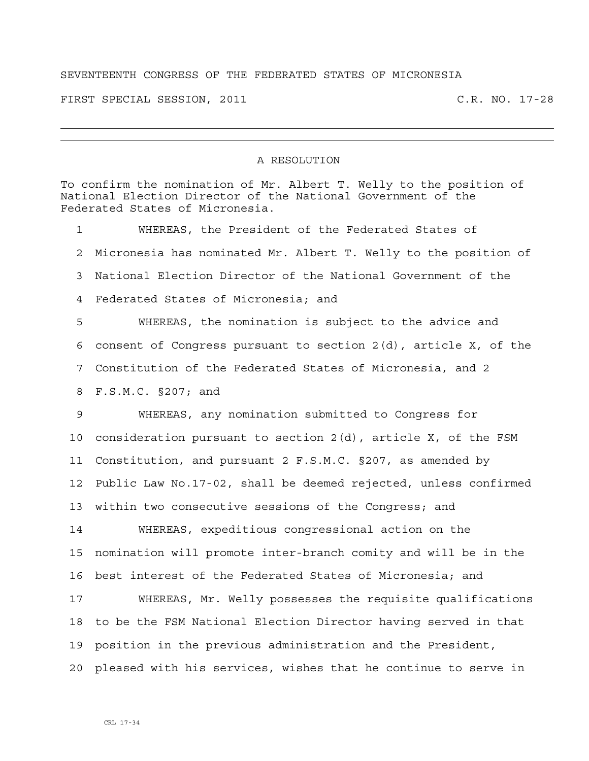## SEVENTEENTH CONGRESS OF THE FEDERATED STATES OF MICRONESIA

FIRST SPECIAL SESSION, 2011 C.R. NO. 17-28

## A RESOLUTION

To confirm the nomination of Mr. Albert T. Welly to the position of National Election Director of the National Government of the Federated States of Micronesia.

1 WHEREAS, the President of the Federated States of 2 Micronesia has nominated Mr. Albert T. Welly to the position of 3 National Election Director of the National Government of the 4 Federated States of Micronesia; and 5 WHEREAS, the nomination is subject to the advice and 6 consent of Congress pursuant to section 2(d), article X, of the 7 Constitution of the Federated States of Micronesia, and 2

8 F.S.M.C. §207; and

9 WHEREAS, any nomination submitted to Congress for 10 consideration pursuant to section 2(d), article X, of the FSM 11 Constitution, and pursuant 2 F.S.M.C. §207, as amended by 12 Public Law No.17-02, shall be deemed rejected, unless confirmed 13 within two consecutive sessions of the Congress; and

14 WHEREAS, expeditious congressional action on the 15 nomination will promote inter-branch comity and will be in the 16 best interest of the Federated States of Micronesia; and

17 WHEREAS, Mr. Welly possesses the requisite qualifications 18 to be the FSM National Election Director having served in that 19 position in the previous administration and the President, 20 pleased with his services, wishes that he continue to serve in